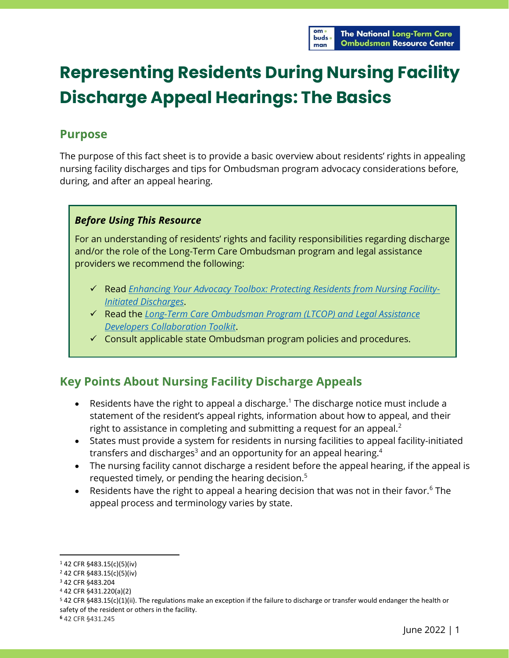

# **Representing Residents During Nursing Facility Discharge Appeal Hearings: The Basics**

## **Purpose**

The purpose of this fact sheet is to provide a basic overview about residents' rights in appealing nursing facility discharges and tips for Ombudsman program advocacy considerations before, during, and after an appeal hearing.

#### *Before Using This Resource*

For an understanding of residents' rights and facility responsibilities regarding discharge and/or the role of the Long-Term Care Ombudsman program and legal assistance providers we recommend the following:

- ✓ Read *[Enhancing Your Advocacy Toolbox: Protecting Residents from Nursing Facility-](https://ltcombudsman.org/uploads/files/support/enhancing-your-advocacy-toolbox.pdf)[Initiated Discharges](https://ltcombudsman.org/uploads/files/support/enhancing-your-advocacy-toolbox.pdf)*.
- ✓ Read the *[Long-Term Care Ombudsman Program](https://ltcombudsman.org/omb_support/pm/collaboration/legal-assistance-developers-toolkit) (LTCOP) and Legal Assistance [Developers Collaboration Toolkit](https://ltcombudsman.org/omb_support/pm/collaboration/legal-assistance-developers-toolkit)*.
- $\checkmark$  Consult applicable state Ombudsman program policies and procedures.

## **Key Points About Nursing Facility Discharge Appeals**

- Residents have the right to appeal a discharge.<sup>1</sup> The discharge notice must include a statement of the resident's appeal rights, information about how to appeal, and their right to assistance in completing and submitting a request for an appeal.<sup>2</sup>
- States must provide a system for residents in nursing facilities to appeal facility-initiated transfers and discharges $^3$  and an opportunity for an appeal hearing. $^4$
- The nursing facility cannot discharge a resident before the appeal hearing, if the appeal is requested timely, or pending the hearing decision.<sup>5</sup>
- Residents have the right to appeal a hearing decision that was not in their favor.<sup>6</sup> The appeal process and terminology varies by state.

<sup>1</sup> 42 CFR §483.15(c)(5)(iv)

<sup>2</sup> 42 CFR §483.15(c)(5)(iv)

<sup>3</sup> 42 CFR §483.204

<sup>4</sup> 42 CFR §431.220(a)(2)

<sup>5</sup> 42 CFR §483.15(c)(1)(ii). The regulations make an exception if the failure to discharge or transfer would endanger the health or safety of the resident or others in the facility.

**<sup>6</sup>** 42 CFR §431.245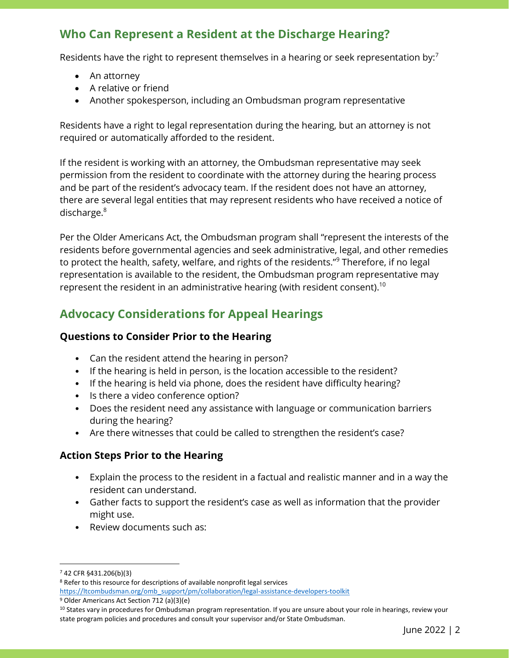# **Who Can Represent a Resident at the Discharge Hearing?**

Residents have the right to represent themselves in a hearing or seek representation by:<sup>7</sup>

- An attorney
- A relative or friend
- Another spokesperson, including an Ombudsman program representative

Residents have a right to legal representation during the hearing, but an attorney is not required or automatically afforded to the resident.

If the resident is working with an attorney, the Ombudsman representative may seek permission from the resident to coordinate with the attorney during the hearing process and be part of the resident's advocacy team. If the resident does not have an attorney, there are several legal entities that may represent residents who have received a notice of discharge.<sup>8</sup>

Per the Older Americans Act, the Ombudsman program shall "represent the interests of the residents before governmental agencies and seek administrative, legal, and other remedies to protect the health, safety, welfare, and rights of the residents."<sup>9</sup> Therefore, if no legal representation is available to the resident, the Ombudsman program representative may represent the resident in an administrative hearing (with resident consent). $^{\rm 10}$ 

# **Advocacy Considerations for Appeal Hearings**

#### **Questions to Consider Prior to the Hearing**

- Can the resident attend the hearing in person?
- If the hearing is held in person, is the location accessible to the resident?
- If the hearing is held via phone, does the resident have difficulty hearing?
- Is there a video conference option?
- Does the resident need any assistance with language or communication barriers during the hearing?
- Are there witnesses that could be called to strengthen the resident's case?

#### **Action Steps Prior to the Hearing**

- Explain the process to the resident in a factual and realistic manner and in a way the resident can understand.
- Gather facts to support the resident's case as well as information that the provider might use.
- Review documents such as:

<sup>7</sup> 42 CFR §431.206(b)(3)

<sup>8</sup> Refer to this resource for descriptions of available nonprofit legal services [https://ltcombudsman.org/omb\\_support/pm/collaboration/legal-assistance-developers-toolkit](https://ltcombudsman.org/omb_support/pm/collaboration/legal-assistance-developers-toolkit)

<sup>9</sup> Older Americans Act Section 712 (a)(3)(e)

<sup>&</sup>lt;sup>10</sup> States vary in procedures for Ombudsman program representation. If you are unsure about your role in hearings, review your state program policies and procedures and consult your supervisor and/or State Ombudsman.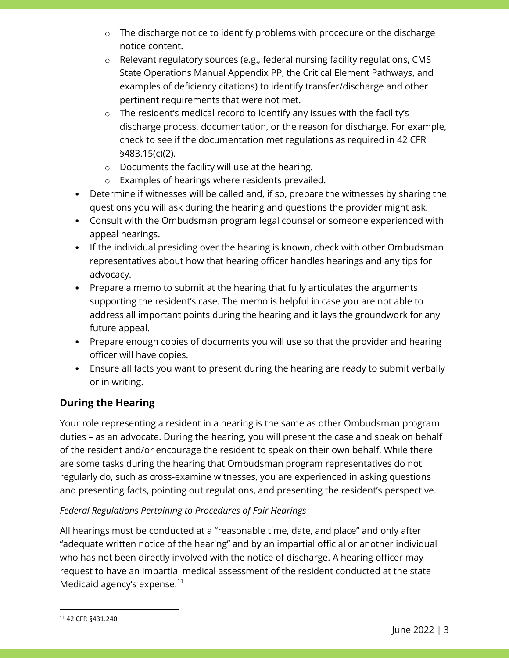- o The discharge notice to identify problems with procedure or the discharge notice content.
- o Relevant regulatory sources (e.g., federal nursing facility regulations, CMS State Operations Manual Appendix PP, the Critical Element Pathways, and examples of deficiency citations) to identify transfer/discharge and other pertinent requirements that were not met.
- o The resident's medical record to identify any issues with the facility's discharge process, documentation, or the reason for discharge. For example, check to see if the documentation met regulations as required in 42 CFR §483.15(c)(2).
- o Documents the facility will use at the hearing.
- o Examples of hearings where residents prevailed.
- Determine if witnesses will be called and, if so, prepare the witnesses by sharing the questions you will ask during the hearing and questions the provider might ask.
- Consult with the Ombudsman program legal counsel or someone experienced with appeal hearings.
- If the individual presiding over the hearing is known, check with other Ombudsman representatives about how that hearing officer handles hearings and any tips for advocacy.
- Prepare a memo to submit at the hearing that fully articulates the arguments supporting the resident's case. The memo is helpful in case you are not able to address all important points during the hearing and it lays the groundwork for any future appeal.
- Prepare enough copies of documents you will use so that the provider and hearing officer will have copies.
- Ensure all facts you want to present during the hearing are ready to submit verbally or in writing.

### **During the Hearing**

Your role representing a resident in a hearing is the same as other Ombudsman program duties – as an advocate. During the hearing, you will present the case and speak on behalf of the resident and/or encourage the resident to speak on their own behalf. While there are some tasks during the hearing that Ombudsman program representatives do not regularly do, such as cross-examine witnesses, you are experienced in asking questions and presenting facts, pointing out regulations, and presenting the resident's perspective.

#### *Federal Regulations Pertaining to Procedures of Fair Hearings*

All hearings must be conducted at a "reasonable time, date, and place" and only after "adequate written notice of the hearing" and by an impartial official or another individual who has not been directly involved with the notice of discharge. A hearing officer may request to have an impartial medical assessment of the resident conducted at the state Medicaid agency's expense.<sup>11</sup>

<sup>11</sup> 42 CFR §431.240